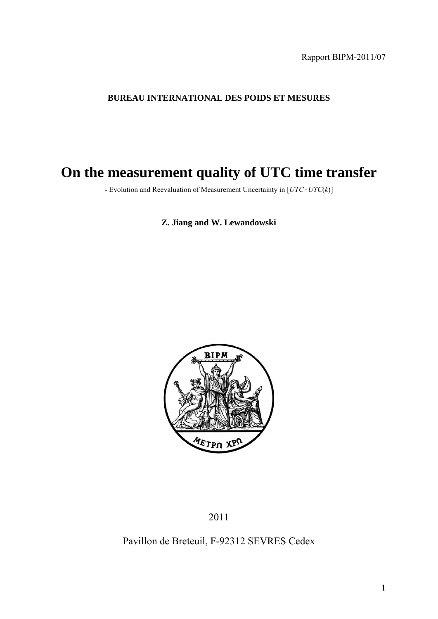Rapport BIPM-2011/07

### **BUREAU INTERNATIONAL DES POIDS ET MESURES**

# **On the measurement quality of UTC time transfer**

- Evolution and Reevaluation of Measurement Uncertainty in [*UTC*-*UTC*(*k*)]

### **Z. Jiang and W. Lewandowski**



### Pavillon de Breteuil, F-92312 SEVRES Cedex

<sup>2011</sup>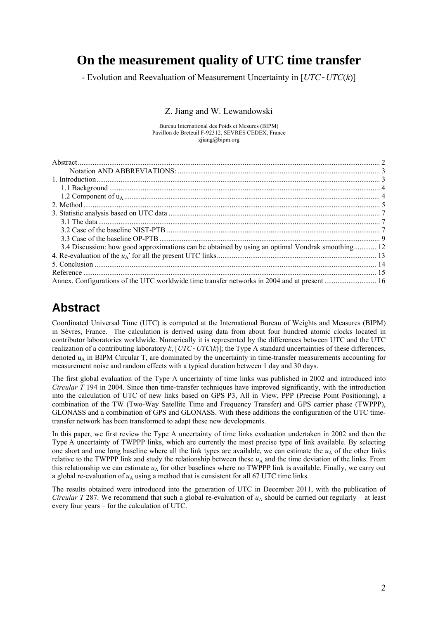# **On the measurement quality of UTC time transfer**

- Evolution and Reevaluation of Measurement Uncertainty in [*UTC*-*UTC*(*k*)]

#### Z. Jiang and W. Lewandowski

Bureau International des Poids et Mesures (BIPM) Pavillon de Breteuil F-92312, SEVRES CEDEX, France zjiang@bipm.org

| 3.4 Discussion: how good approximations can be obtained by using an optimal Vondrak smoothing 12                |  |
|-----------------------------------------------------------------------------------------------------------------|--|
|                                                                                                                 |  |
|                                                                                                                 |  |
|                                                                                                                 |  |
| Annex. Configurations of the UTC worldwide time transfer networks in 2004 and at present <i>manuformance</i> 16 |  |

## **Abstract**

Coordinated Universal Time (UTC) is computed at the International Bureau of Weights and Measures (BIPM) in Sèvres, France. The calculation is derived using data from about four hundred atomic clocks located in contributor laboratories worldwide. Numerically it is represented by the differences between UTC and the UTC realization of a contributing laboratory  $k$ ,  $[UTC-UTC(k)]$ ; the Type A standard uncertainties of these differences, denoted  $u_A$  in BIPM Circular T, are dominated by the uncertainty in time-transfer measurements accounting for measurement noise and random effects with a typical duration between 1 day and 30 days.

The first global evaluation of the Type A uncertainty of time links was published in 2002 and introduced into *Circular T* 194 in 2004. Since then time-transfer techniques have improved significantly, with the introduction into the calculation of UTC of new links based on GPS P3, All in View, PPP (Precise Point Positioning), a combination of the TW (Two-Way Satellite Time and Frequency Transfer) and GPS carrier phase (TWPPP), GLONASS and a combination of GPS and GLONASS. With these additions the configuration of the UTC timetransfer network has been transformed to adapt these new developments.

In this paper, we first review the Type A uncertainty of time links evaluation undertaken in 2002 and then the Type A uncertainty of TWPPP links, which are currently the most precise type of link available. By selecting one short and one long baseline where all the link types are available, we can estimate the  $u<sub>A</sub>$  of the other links relative to the TWPPP link and study the relationship between these  $u_A$  and the time deviation of the links. From this relationship we can estimate  $u_A$  for other baselines where no TWPPP link is available. Finally, we carry out a global re-evaluation of  $u<sub>A</sub>$  using a method that is consistent for all 67 UTC time links.

The results obtained were introduced into the generation of UTC in December 2011, with the publication of *Circular T* 287. We recommend that such a global re-evaluation of  $u<sub>A</sub>$  should be carried out regularly – at least every four years – for the calculation of UTC.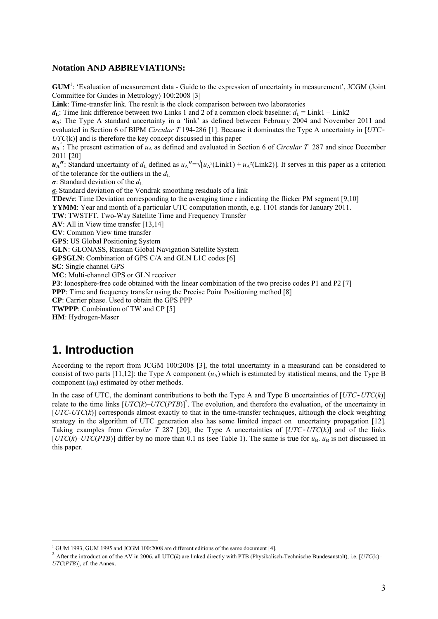#### **Notation AND ABBREVIATIONS:**

GUM<sup>1</sup>: 'Evaluation of measurement data - Guide to the expression of uncertainty in measurement', JCGM (Joint Committee for Guides in Metrology) 100:2008 [3] **Link**: Time-transfer link. The result is the clock comparison between two laboratories  $d_L$ : Time link difference between two Links 1 and 2 of a common clock baseline:  $d_L = \text{Link1} - \text{Link2}$ *u***A**: The Type A standard uncertainty in a 'link' as defined between February 2004 and November 2011 and evaluated in Section 6 of BIPM *Circular T* 194-286 [1]. Because it dominates the Type A uncertainty in [*UTC*-*UTC*(k)] and is therefore the key concept discussed in this paper  $u_A$ <sup>'</sup>: The present estimation of  $u_A$  as defined and evaluated in Section 6 of *Circular T* 287 and since December 2011 [20]  $u_A$ <sup> $\bf{u}$ </sup>: Standard uncertainty of *d*<sub>L</sub> defined as  $u_A$ <sup> $\bf{u}$ </sup> = √[ $u_A$ <sup>2</sup>(Link1) +  $u_A$ <sup>2</sup>(Link2)]. It serves in this paper as a criterion of the tolerance for the outliers in the  $d<sub>L</sub>$ *σ*: Standard deviation of the  $d<sub>L</sub>$ *σ***:** Standard deviation of the Vondrak smoothing residuals of a link **TDev/***τ*: Time Deviation corresponding to the averaging time *τ* indicating the flicker PM segment [9,10] **YYMM**: Year and month of a particular UTC computation month, e.g. 1101 stands for January 2011. **TW**: TWSTFT, Two-Way Satellite Time and Frequency Transfer **AV**: All in View time transfer [13,14] **CV**: Common View time transfer **GPS**: US Global Positioning System **GLN**: GLONASS, Russian Global Navigation Satellite System **GPSGLN**: Combination of GPS C/A and GLN L1C codes [6] **SC**: Single channel GPS **MC**: Multi-channel GPS or GLN receiver **P3**: Ionosphere-free code obtained with the linear combination of the two precise codes P1 and P2 [7] **PPP**: Time and frequency transfer using the Precise Point Positioning method [8] **CP**: Carrier phase. Used to obtain the GPS PPP **TWPPP**: Combination of TW and CP [5] **HM**: Hydrogen-Maser

### **1. Introduction**

According to the report from JCGM 100:2008 [3], the total uncertainty in a measurand can be considered to consist of two parts [11,12]: the Type A component  $(u<sub>A</sub>)$  which is estimated by statistical means, and the Type B component  $(u_B)$  estimated by other methods.

In the case of UTC, the dominant contributions to both the Type A and Type B uncertainties of [*UTC*-*UTC*(*k*)] relate to the time links  $[UTC(k)-UTC(PTB)]^2$ . The evolution, and therefore the evaluation, of the uncertainty in [*UTC*-*UTC*(*k*)] corresponds almost exactly to that in the time-transfer techniques, although the clock weighting strategy in the algorithm of UTC generation also has some limited impact on uncertainty propagation [12]. Taking examples from *Circular T* 287 [20], the Type A uncertainties of [*UTC*-*UTC*(*k*)] and of the links [*UTC*( $k$ )–*UTC*(*PTB*)] differ by no more than 0.1 ns (see Table 1). The same is true for  $u_B$ .  $u_B$  is not discussed in this paper.

 $\frac{1}{1}$ 

<sup>&</sup>lt;sup>2</sup> After the introduction of the AV in 2006, all UTC(k) are linked directly with PTB (Physikalisch-Technische Bundesanstalt), i.e. [UTC(k)– *UTC*(*PTB*)], cf. the Annex.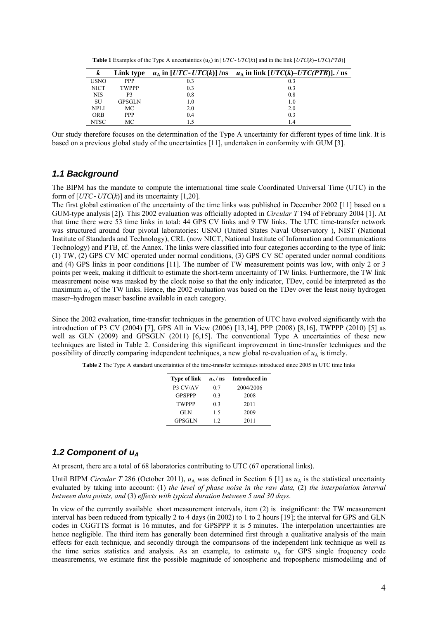**Table 1** Examples of the Type A uncertainties  $(u_A)$  in  $[UTC-UTC(k)]$  and in the link  $[UTC(k)-UTC(PTB)]$ 

| K           | Link type    |         | $u_A$ in [UTC-UTC(k)] /ns $u_A$ in link [UTC(k)-UTC(PTB)]. / ns |
|-------------|--------------|---------|-----------------------------------------------------------------|
| <b>USNO</b> | <b>PPP</b>   | 0.3     | 0.3                                                             |
| <b>NICT</b> | <b>TWPPP</b> | 0.3     | 0.3                                                             |
| <b>NIS</b>  | P3           | 0.8     | 0.8                                                             |
| SU          | GPSGLN       | $1.0\,$ | 1.0                                                             |
| NPLI        | МC           | 2.0     | 2.0                                                             |
| <b>ORB</b>  | <b>PPP</b>   | 0.4     | 0.3                                                             |
| NTSC        | MC           |         | 1.4                                                             |

Our study therefore focuses on the determination of the Type A uncertainty for different types of time link. It is based on a previous global study of the uncertainties [11], undertaken in conformity with GUM [3].

#### *1.1 Background*

The BIPM has the mandate to compute the international time scale Coordinated Universal Time (UTC) in the form of  $[UTC-UTC(k)]$  and its uncertainty  $[1,20]$ .

The first global estimation of the uncertainty of the time links was published in December 2002 [11] based on a GUM-type analysis [2]). This 2002 evaluation was officially adopted in *Circular T* 194 of February 2004 [1]. At that time there were 53 time links in total: 44 GPS CV links and 9 TW links. The UTC time-transfer network was structured around four pivotal laboratories: USNO (United States Naval Observatory ), NIST (National Institute of Standards and Technology), CRL (now NICT, National Institute of Information and Communications Technology) and PTB, cf. the Annex. The links were classified into four categories according to the type of link: (1) TW, (2) GPS CV MC operated under normal conditions, (3) GPS CV SC operated under normal conditions and (4) GPS links in poor conditions [11]. The number of TW measurement points was low, with only 2 or 3 points per week, making it difficult to estimate the short-term uncertainty of TW links. Furthermore, the TW link measurement noise was masked by the clock noise so that the only indicator, TDev, could be interpreted as the maximum  $u_A$  of the TW links. Hence, the 2002 evaluation was based on the TDev over the least noisy hydrogen maser–hydrogen maser baseline available in each category.

Since the 2002 evaluation, time-transfer techniques in the generation of UTC have evolved significantly with the introduction of P3 CV (2004) [7], GPS All in View (2006) [13,14], PPP (2008) [8,16], TWPPP (2010) [5] as well as GLN (2009) and GPSGLN (2011) [6,15]. The conventional Type A uncertainties of these new techniques are listed in Table 2. Considering this significant improvement in time-transfer techniques and the possibility of directly comparing independent techniques, a new global re-evaluation of  $u_A$  is timely.

**Table 2** The Type A standard uncertainties of the time-transfer techniques introduced since 2005 in UTC time links

| <b>Type of link</b> | $u_{\rm A}/\,{\rm ns}$ | Introduced in |
|---------------------|------------------------|---------------|
| P3 CV/AV            | 0.7                    | 2004/2006     |
| <b>GPSPPP</b>       | 0.3                    | 2008          |
| <b>TWPPP</b>        | 0.3                    | 2011          |
| <b>GLN</b>          | 15                     | 2009          |
| <b>GPSGLN</b>       | 12                     | 2011          |

#### *1.2 Component of uA*

At present, there are a total of 68 laboratories contributing to UTC (67 operational links).

Until BIPM *Circular T* 286 (October 2011),  $u_A$  was defined in Section 6 [1] as  $u_A$  is the statistical uncertainty evaluated by taking into account: (1) *the level of phase noise in the raw data,* (2) *the interpolation interval between data points, and* (3) *effects with typical duration between 5 and 30 days*.

In view of the currently available short measurement intervals, item (2) is insignificant: the TW measurement interval has been reduced from typically 2 to 4 days (in 2002) to 1 to 2 hours [19]; the interval for GPS and GLN codes in CGGTTS format is 16 minutes, and for GPSPPP it is 5 minutes. The interpolation uncertainties are hence negligible. The third item has generally been determined first through a qualitative analysis of the main effects for each technique, and secondly through the comparisons of the independent link technique as well as the time series statistics and analysis. As an example, to estimate  $u_A$  for GPS single frequency code measurements, we estimate first the possible magnitude of ionospheric and tropospheric mismodelling and of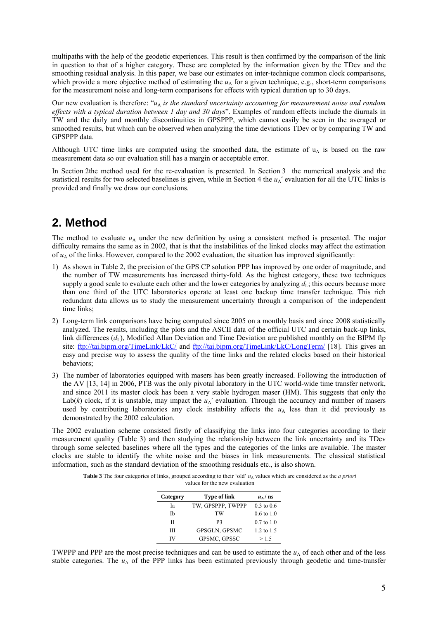multipaths with the help of the geodetic experiences. This result is then confirmed by the comparison of the link in question to that of a higher category. These are completed by the information given by the TDev and the smoothing residual analysis. In this paper, we base our estimates on inter-technique common clock comparisons, which provide a more objective method of estimating the  $u_A$  for a given technique, e.g., short-term comparisons for the measurement noise and long-term comparisons for effects with typical duration up to 30 days.

Our new evaluation is therefore: "*u*<sub>A</sub> *is the standard uncertainty accounting for measurement noise and random effects with a typical duration between 1 day and 30 days*". Examples of random effects include the diurnals in TW and the daily and monthly discontinuities in GPSPPP, which cannot easily be seen in the averaged or smoothed results, but which can be observed when analyzing the time deviations TDev or by comparing TW and GPSPPP data.

Although UTC time links are computed using the smoothed data, the estimate of  $u_A$  is based on the raw measurement data so our evaluation still has a margin or acceptable error.

In Section 2the method used for the re-evaluation is presented. In Section 3 the numerical analysis and the statistical results for two selected baselines is given, while in Section 4 the  $u_A'$  evaluation for all the UTC links is provided and finally we draw our conclusions.

# **2. Method**

The method to evaluate  $u_A$  under the new definition by using a consistent method is presented. The major difficulty remains the same as in 2002, that is that the instabilities of the linked clocks may affect the estimation of  $u_A$  of the links. However, compared to the 2002 evaluation, the situation has improved significantly:

- 1) As shown in Table 2, the precision of the GPS CP solution PPP has improved by one order of magnitude, and the number of TW measurements has increased thirty-fold. As the highest category, these two techniques supply a good scale to evaluate each other and the lower categories by analyzing  $d<sub>L</sub>$ ; this occurs because more than one third of the UTC laboratories operate at least one backup time transfer technique. This rich redundant data allows us to study the measurement uncertainty through a comparison of the independent time links;
- 2) Long-term link comparisons have being computed since 2005 on a monthly basis and since 2008 statistically analyzed. The results, including the plots and the ASCII data of the official UTC and certain back-up links, link differences  $(d_1)$ , Modified Allan Deviation and Time Deviation are published monthly on the BIPM ftp site: ftp://tai.bipm.org/TimeLink/LkC/ and ftp://tai.bipm.org/TimeLink/LkC/LongTerm/ [18]. This gives an easy and precise way to assess the quality of the time links and the related clocks based on their historical behaviors;
- 3) The number of laboratories equipped with masers has been greatly increased. Following the introduction of the AV [13, 14] in 2006, PTB was the only pivotal laboratory in the UTC world-wide time transfer network, and since 2011 its master clock has been a very stable hydrogen maser (HM). This suggests that only the Lab( $k$ ) clock, if it is unstable, may impact the  $u_A'$  evaluation. Through the accuracy and number of masers used by contributing laboratories any clock instability affects the  $u<sub>A</sub>$  less than it did previously as demonstrated by the 2002 calculation.

The 2002 evaluation scheme consisted firstly of classifying the links into four categories according to their measurement quality (Table 3) and then studying the relationship between the link uncertainty and its TDev through some selected baselines where all the types and the categories of the links are available. The master clocks are stable to identify the white noise and the biases in link measurements. The classical statistical information, such as the standard deviation of the smoothing residuals etc., is also shown.

**Table 3** The four categories of links, grouped according to their 'old'  $u<sub>A</sub>$  values which are considered as the *a priori* 

|  | values for the new evaluation |  |
|--|-------------------------------|--|
|  |                               |  |

| Category | <b>Type of link</b>  | $u_{\rm A}/\text{ns}$ |
|----------|----------------------|-----------------------|
| Iа       | TW, GPSPPP, TWPPP    | $0.3 \text{ to } 0.6$ |
| Ib       | TW                   | $0.6 \text{ to } 1.0$ |
| П        | P3                   | $0.7 \text{ to } 1.0$ |
| Ш        | <b>GPSGLN, GPSMC</b> | 1.2 to 1.5            |
| IV       | GPSMC, GPSSC         | >1.5                  |

TWPPP and PPP are the most precise techniques and can be used to estimate the  $u<sub>A</sub>$  of each other and of the less stable categories. The  $u_A$  of the PPP links has been estimated previously through geodetic and time-transfer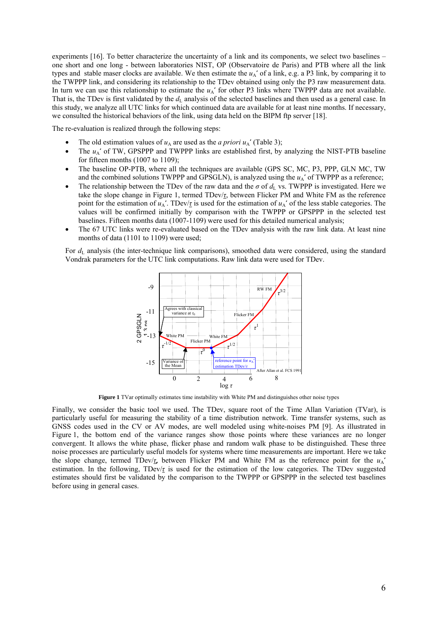experiments [16]. To better characterize the uncertainty of a link and its components, we select two baselines – one short and one long - between laboratories NIST, OP (Observatoire de Paris) and PTB where all the link types and stable maser clocks are available. We then estimate the  $u_A'$  of a link, e.g. a P3 link, by comparing it to the TWPPP link, and considering its relationship to the TDev obtained using only the P3 raw measurement data. In turn we can use this relationship to estimate the  $u_A'$  for other P3 links where TWPPP data are not available. That is, the TDev is first validated by the  $d_{\text{L}}$  analysis of the selected baselines and then used as a general case. In this study, we analyze all UTC links for which continued data are available for at least nine months. If necessary, we consulted the historical behaviors of the link, using data held on the BIPM ftp server [18].

The re-evaluation is realized through the following steps:

- The old estimation values of  $u_A$  are used as the *a priori*  $u_A'$  (Table 3);
- The  $u_A'$  of TW, GPSPPP and TWPPP links are established first, by analyzing the NIST-PTB baseline for fifteen months (1007 to 1109);
- The baseline OP-PTB, where all the techniques are available (GPS SC, MC, P3, PPP, GLN MC, TW and the combined solutions TWPPP and GPSGLN), is analyzed using the  $u_A'$  of TWPPP as a reference;
- The relationship between the TDev of the raw data and the  $\sigma$  of  $d_L$  vs. TWPPP is investigated. Here we take the slope change in Figure 1, termed TDev/*τ*, between Flicker PM and White FM as the reference point for the estimation of  $u_A'$ . TDev/ $\tau$  is used for the estimation of  $u_A'$  of the less stable categories. The values will be confirmed initially by comparison with the TWPPP or GPSPPP in the selected test baselines. Fifteen months data (1007-1109) were used for this detailed numerical analysis;
- The 67 UTC links were re-evaluated based on the TDev analysis with the raw link data. At least nine months of data (1101 to 1109) were used;

For  $d<sub>L</sub>$  analysis (the inter-technique link comparisons), smoothed data were considered, using the standard Vondrak parameters for the UTC link computations. Raw link data were used for TDev.



**Figure 1** TVar optimally estimates time instability with White PM and distinguishes other noise types

Finally, we consider the basic tool we used. The TDev, square root of the Time Allan Variation (TVar), is particularly useful for measuring the stability of a time distribution network. Time transfer systems, such as GNSS codes used in the CV or AV modes, are well modeled using white-noises PM [9]. As illustrated in Figure 1, the bottom end of the variance ranges show those points where these variances are no longer convergent. It allows the white phase, flicker phase and random walk phase to be distinguished. These three noise processes are particularly useful models for systems where time measurements are important. Here we take the slope change, termed TDev/*τ*, between Flicker PM and White FM as the reference point for the  $u_A'$ estimation. In the following, TDev/*τ* is used for the estimation of the low categories. The TDev suggested estimates should first be validated by the comparison to the TWPPP or GPSPPP in the selected test baselines before using in general cases.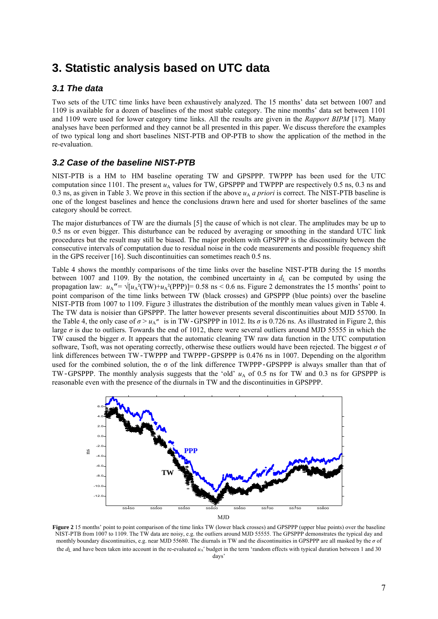## **3. Statistic analysis based on UTC data**

### *3.1 The data*

Two sets of the UTC time links have been exhaustively analyzed. The 15 months' data set between 1007 and 1109 is available for a dozen of baselines of the most stable category. The nine months' data set between 1101 and 1109 were used for lower category time links. All the results are given in the *Rapport BIPM* [17]. Many analyses have been performed and they cannot be all presented in this paper. We discuss therefore the examples of two typical long and short baselines NIST-PTB and OP-PTB to show the application of the method in the re-evaluation.

### *3.2 Case of the baseline NIST-PTB*

NIST-PTB is a HM to HM baseline operating TW and GPSPPP. TWPPP has been used for the UTC computation since 1101. The present  $u_A$  values for TW, GPSPPP and TWPPP are respectively 0.5 ns, 0.3 ns and 0.3 ns, as given in Table 3. We prove in this section if the above  $u_A$  *a priori* is correct. The NIST-PTB baseline is one of the longest baselines and hence the conclusions drawn here and used for shorter baselines of the same category should be correct.

The major disturbances of TW are the diurnals [5] the cause of which is not clear. The amplitudes may be up to 0.5 ns or even bigger. This disturbance can be reduced by averaging or smoothing in the standard UTC link procedures but the result may still be biased. The major problem with GPSPPP is the discontinuity between the consecutive intervals of computation due to residual noise in the code measurements and possible frequency shift in the GPS receiver [16]. Such discontinuities can sometimes reach 0.5 ns.

Table 4 shows the monthly comparisons of the time links over the baseline NIST-PTB during the 15 months between 1007 and 1109. By the notation, the combined uncertainty in  $d<sub>1</sub>$  can be computed by using the propagation law:  $u_A = \sqrt{u_A^2(TW) + u_A^2(PPP)} = 0.58$  ns < 0.6 ns. Figure 2 demonstrates the 15 months' point to point comparison of the time links between TW (black crosses) and GPSPPP (blue points) over the baseline NIST-PTB from 1007 to 1109. Figure 3 illustrates the distribution of the monthly mean values given in Table 4. The TW data is noisier than GPSPPP. The latter however presents several discontinuities about MJD 55700. In the Table 4, the only case of  $\sigma > u_{A''}$  is in TW-GPSPPP in 1012. Its  $\sigma$  is 0.726 ns. As illustrated in Figure 2, this large  $\sigma$  is due to outliers. Towards the end of 1012, there were several outliers around MJD 55555 in which the TW caused the bigger *σ*. It appears that the automatic cleaning TW raw data function in the UTC computation software, Tsoft, was not operating correctly, otherwise these outliers would have been rejected. The biggest *σ* of link differences between TW-TWPPP and TWPPP-GPSPPP is 0.476 ns in 1007. Depending on the algorithm used for the combined solution, the  $\sigma$  of the link difference TWPPP-GPSPPP is always smaller than that of TW-GPSPPP. The monthly analysis suggests that the 'old'  $u_A$  of 0.5 ns for TW and 0.3 ns for GPSPPP is reasonable even with the presence of the diurnals in TW and the discontinuities in GPSPPP.



**Figure 2** 15 months' point to point comparison of the time links TW (lower black crosses) and GPSPPP (upper blue points) over the baseline NIST-PTB from 1007 to 1109. The TW data are noisy, e.g. the outliers around MJD 55555. The GPSPPP demonstrates the typical day and monthly boundary discontinuities, e.g. near MJD 55680. The diurnals in TW and the discontinuities in GPSPPP are all masked by the *σ* of the  $d<sub>L</sub>$  and have been taken into account in the re-evaluated  $u<sub>A</sub>$ ' budget in the term 'random effects with typical duration between 1 and 30 days'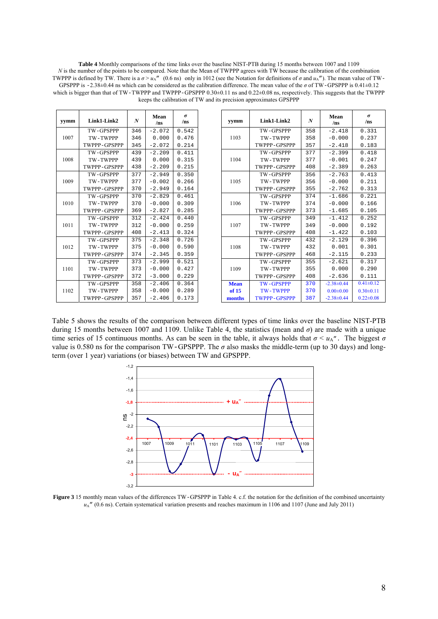**Table 4** Monthly comparisons of the time links over the baseline NIST-PTB during 15 months between 1007 and 1109 *N* is the number of the points to be compared. Note that the Mean of TWPPP agrees with TW because the calibration of the combination TWPPP is defined by TW. There is a  $\sigma > u<sub>A</sub>''$  (0.6 ns) only in 1012 (see the Notation for definitions of  $\sigma$  and  $u<sub>A</sub>''$ ). The mean value of TW-GPSPPP is  $-2.38\pm0.44$  ns which can be considered as the calibration difference. The mean value of the  $\sigma$  of TW-GPSPPP is 0.41 $\pm0.12$ which is bigger than that of TW-TWPPP and TWPPP-GPSPPP 0.30±0.11 ns and 0.22±0.08 ns, respectively. This suggests that the TWPPP keeps the calibration of TW and its precision approximates GPSPPP

| yymm | Link1-Link2      | $\boldsymbol{N}$ | Mean<br>/ns | $\sigma$<br>/ns | yymm        | Linl        |
|------|------------------|------------------|-------------|-----------------|-------------|-------------|
|      | TW-GPSPPP        | 346              | $-2.072$    | 0.542           |             | TW-         |
| 1007 | TW-TWPPP         | 346              | 0.000       | 0.476           | 1103        | TW-         |
|      | TWPPP-GPSPPP     | 345              | $-2.072$    | 0.214           |             | <b>TWPP</b> |
|      | TW-GPSPPP        | 439              | $-2.209$    | 0.411           |             | TW-         |
| 1008 | TW-TWPPP         | 439              | 0.000       | 0.315           | 1104        | TW-         |
|      | TWPPP-GPSPPP     | 438              | $-2.209$    | 0.215           |             | <b>TWPP</b> |
|      | <b>TW-GPSPPP</b> | 377              | $-2.949$    | 0.350           |             | TW-         |
| 1009 | TW-TWPPP         | 377              | $-0.002$    | 0.266           | 1105        | TW-         |
|      | TWPPP-GPSPPP     | 370              | $-2.949$    | 0.164           |             | <b>TWPP</b> |
|      | <b>TW-GPSPPP</b> | 370              | $-2.829$    | 0.461           |             | TW-         |
| 1010 | TW-TWPPP         | 370              | $-0.000$    | 0.309           | 1106        | TW-         |
|      | TWPPP-GPSPPP     | 369              | $-2.827$    | 0.285           |             | TWPP        |
|      | <b>TW-GPSPPP</b> | 312              | $-2.424$    | 0.440           |             | TW-         |
| 1011 | TW-TWPPP         | 312              | $-0.000$    | 0.259           | 1107        | TW-         |
|      | TWPPP-GPSPPP     | 408              | $-2.413$    | 0.324           |             | <b>TWPP</b> |
|      | TW-GPSPPP        | 375              | $-2.348$    | 0.726           |             | TW-         |
| 1012 | TW-TWPPP         | 375              | $-0.000$    | 0.590           | 1108        | TW-         |
|      | TWPPP-GPSPPP     | 374              | $-2.345$    | 0.359           |             | <b>TWPP</b> |
|      | TW-GPSPPP        | 373              | $-2.999$    | 0.521           |             | TW-         |
| 1101 | <b>TW-TWPPP</b>  | 373              | $-0.000$    | 0.427           | 1109        | TW-         |
|      | TWPPP-GPSPPP     | 372              | $-3.000$    | 0.229           |             | <b>TWPP</b> |
|      | TW-GPSPPP        | 358              | $-2.406$    | 0.364           | <b>Mean</b> | TW-         |
| 1102 | TW-TWPPP         | 358              | $-0.000$    | 0.289           | of 15       | TW-         |
|      | TWPPP-GPSPPP     | 357              | $-2.406$    | 0.173           | months      | <b>TWPP</b> |

| yymm        | Link1-Link2         | N   | Mean<br>/ns     | $\sigma$<br>/ns |
|-------------|---------------------|-----|-----------------|-----------------|
|             | TW-GPSPPP           | 358 | $-2.418$        | 0.331           |
| 1103        | TW-TWPPP            | 358 | $-0.000$        | 0.237           |
|             | TWPPP-GPSPPP        | 357 | $-2.418$        | 0.183           |
|             | <b>TW-GPSPPP</b>    | 377 | $-2.399$        | 0.418           |
| 1104        | TW-TWPPP            | 377 | $-0.001$        | 0.247           |
|             | TWPPP-GPSPPP        | 408 | $-2.389$        | 0.263           |
|             | <b>TW-GPSPPP</b>    | 356 | $-2.763$        | 0.413           |
| 1105        | TW-TWPPP            | 356 | $-0.000$        | 0.211           |
|             | TWPPP-GPSPPP        | 355 | $-2.762$        | 0.313           |
|             | <b>TW-GPSPPP</b>    | 374 | $-1.686$        | 0.221           |
| 1106        | TW-TWPPP            | 374 | $-0.000$        | 0.166           |
|             | TWPPP-GPSPPP        | 373 | $-1.685$        | 0.105           |
|             | <b>TW-GPSPPP</b>    | 349 | $-1.412$        | 0.252           |
| 1107        | TW-TWPPP            | 349 | $-0.000$        | 0.192           |
|             | TWPPP-GPSPPP        | 408 | $-1.422$        | 0.103           |
|             | <b>TW-GPSPPP</b>    | 432 | $-2.129$        | 0.396           |
| 1108        | TW-TWPPP            | 432 | 0.001           | 0.301           |
|             | TWPPP-GPSPPP        | 468 | $-2.115$        | 0.233           |
|             | TW-GPSPPP           | 355 | $-2.621$        | 0.317           |
| 1109        | TW-TWPPP            | 355 | 0.000           | 0.290           |
|             | TWPPP-GPSPPP        | 408 | $-2.636$        | 0.111           |
| <b>Mean</b> | <b>TW-GPSPPP</b>    | 370 | $-2.38\pm0.44$  | $0.41 \pm 0.12$ |
| of 15       | <b>TW-TWPPP</b>     | 370 | $0.00 \pm 0.00$ | $0.30 \pm 0.11$ |
| months      | <b>TWPPP-GPSPPP</b> | 387 | $-2.38\pm0.44$  | $0.22 \pm 0.08$ |

Table 5 shows the results of the comparison between different types of time links over the baseline NIST-PTB during 15 months between 1007 and 1109. Unlike Table 4, the statistics (mean and *σ*) are made with a unique time series of 15 continuous months. As can be seen in the table, it always holds that  $\sigma < u_{A''}$ . The biggest  $\sigma$ value is 0.580 ns for the comparison TW-GPSPPP. The *σ* also masks the middle-term (up to 30 days) and longterm (over 1 year) variations (or biases) between TW and GPSPPP.



**Figure 3** 15 monthly mean values of the differences TW-GPSPPP in Table 4. c.f. the notation for the definition of the combined uncertainty  $u_A$ <sup>"</sup> (0.6 ns). Certain systematical variation presents and reaches maximum in 1106 and 1107 (June and July 2011)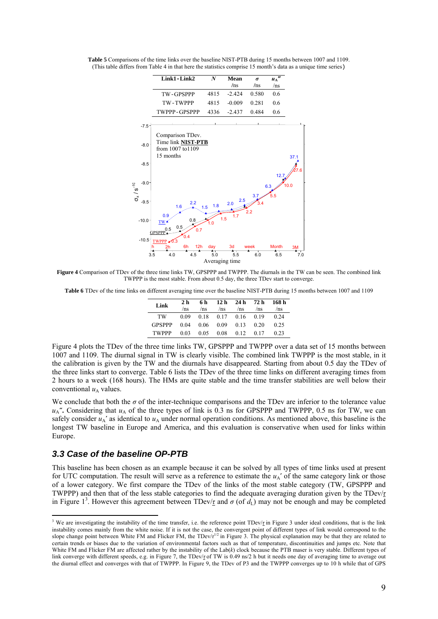

**Table 5** Comparisons of the time links over the baseline NIST-PTB during 15 months between 1007 and 1109. (This table differs from Table 4 in that here the statistics comprise 15 month's data as a unique time series)

**Figure 4** Comparison of TDev of the three time links TW, GPSPPP and TWPPP. The diurnals in the TW can be seen. The combined link TWPPP is the most stable. From about 0.5 day, the three TDev start to converge.

**Table 6** TDev of the time links on different averaging time over the baseline NIST-PTB during 15 months between 1007 and 1109

| Link          | 2 <sub>h</sub><br>/ns | 6 h<br>/ns | 12 h 24 h 72 h<br>/ns              | /ns                  | /ns | 168 h<br>/ns |
|---------------|-----------------------|------------|------------------------------------|----------------------|-----|--------------|
| TW            |                       |            | $0.09$ $0.18$ $0.17$ $0.16$ $0.19$ |                      |     | 0.24         |
| <b>GPSPPP</b> |                       |            | $0.04$ $0.06$ $0.09$ $0.13$ $0.20$ |                      |     | 0.25         |
| <b>TWPPP</b>  | 0.03                  | 0.05       |                                    | $0.08$ $0.12$ $0.17$ |     | 0.23         |

Figure 4 plots the TDev of the three time links TW, GPSPPP and TWPPP over a data set of 15 months between 1007 and 1109. The diurnal signal in TW is clearly visible. The combined link TWPPP is the most stable, in it the calibration is given by the TW and the diurnals have disappeared. Starting from about 0.5 day the TDev of the three links start to converge. Table 6 lists the TDev of the three time links on different averaging times from 2 hours to a week (168 hours). The HMs are quite stable and the time transfer stabilities are well below their conventional  $u_A$  values.

We conclude that both the  $\sigma$  of the inter-technique comparisons and the TDev are inferior to the tolerance value  $u_A$ ". Considering that  $u_A$  of the three types of link is 0.3 ns for GPSPPP and TWPPP, 0.5 ns for TW, we can safely consider  $u_A'$  as identical to  $u_A$  under normal operation conditions. As mentioned above, this baseline is the longest TW baseline in Europe and America, and this evaluation is conservative when used for links within Europe.

#### *3.3 Case of the baseline OP-PTB*

1

This baseline has been chosen as an example because it can be solved by all types of time links used at present for UTC computation. The result will serve as a reference to estimate the  $u_A'$  of the same category link or those of a lower category. We first compare the TDev of the links of the most stable category (TW, GPSPPP and TWPPP) and then that of the less stable categories to find the adequate averaging duration given by the TDev/*τ* in Figure 1<sup>3</sup>. However this agreement between TDev/ $\tau$  and  $\sigma$  (of  $d_L$ ) may not be enough and may be completed

<sup>&</sup>lt;sup>3</sup> We are investigating the instability of the time transfer, i.e. the reference point TDev/*τ* in Figure 3 under ideal conditions, that is the link instability comes mainly from the white noise. If it is not the case, the convergent point of different types of link would correspond to the slope change point between White FM and Flicker FM, the TDev/*τ*<sup>1/2</sup> in Figure 3. The physical explanation may be that they are related to certain trends or biases due to the variation of environmental factors such as that of temperature, discontinuities and jumps etc. Note that White FM and Flicker FM are affected rather by the instability of the Lab(*k*) clock because the PTB maser is very stable. Different types of link converge with different speeds, e.g. in Figure 7, the TDev/*τ* of TW is 0.49 ns/2 h but it needs one day of averaging time to average out the diurnal effect and converges with that of TWPPP. In Figure 9, the TDev of P3 and the TWPPP converges up to 10 h while that of GPS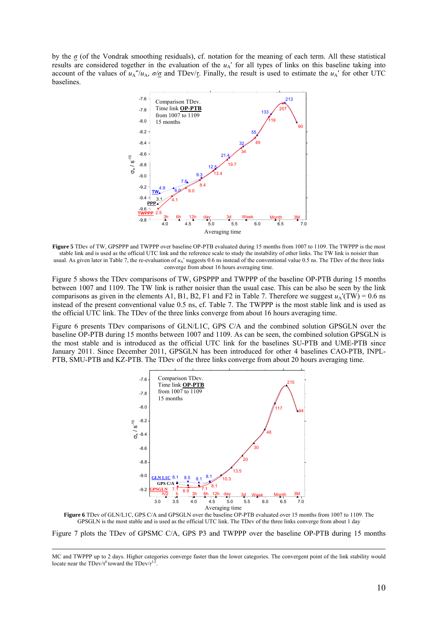by the *σ* (of the Vondrak smoothing residuals), cf. notation for the meaning of each term. All these statistical results are considered together in the evaluation of the  $u_A'$  for all types of links on this baseline taking into account of the values of  $u_A''/u_A$ ,  $\sigma/\sigma$  and TDev/*t*. Finally, the result is used to estimate the  $u_A'$  for other UTC baselines.



**Figure 5** TDev of TW, GPSPPP and TWPPP over baseline OP-PTB evaluated during 15 months from 1007 to 1109. The TWPPP is the most stable link and is used as the official UTC link and the reference scale to study the instability of other links. The TW link is noisier than usual. As given later in Table 7, the re-evaluation of  $u_A'$  suggests 0.6 ns instead of the conventional value 0.5 ns. The TDev of the three links converge from about 16 hours averaging time.

Figure 5 shows the TDev comparisons of TW, GPSPPP and TWPPP of the baseline OP-PTB during 15 months between 1007 and 1109. The TW link is rather noisier than the usual case. This can be also be seen by the link comparisons as given in the elements A1, B1, B2, F1 and F2 in Table 7. Therefore we suggest  $u_A'(TW) = 0.6$  ns instead of the present conventional value 0.5 ns, cf. Table 7. The TWPPP is the most stable link and is used as the official UTC link. The TDev of the three links converge from about 16 hours averaging time.

Figure 6 presents TDev comparisons of GLN/L1C, GPS C/A and the combined solution GPSGLN over the baseline OP-PTB during 15 months between 1007 and 1109. As can be seen, the combined solution GPSGLN is the most stable and is introduced as the official UTC link for the baselines SU-PTB and UME-PTB since January 2011. Since December 2011, GPSGLN has been introduced for other 4 baselines CAO-PTB, INPL-PTB, SMU-PTB and KZ-PTB. The TDev of the three links converge from about 20 hours averaging time.



**Figure 6** TDev of GLN/L1C, GPS C/A and GPSGLN over the baseline OP-PTB evaluated over 15 months from 1007 to 1109. The GPSGLN is the most stable and is used as the official UTC link. The TDev of the three links converge from about 1 day

Figure 7 plots the TDev of GPSMC C/A, GPS P3 and TWPPP over the baseline OP-PTB during 15 months

MC and TWPPP up to 2 days. Higher categories converge faster than the lower categories. The convergent point of the link stability would locate near the TDev/ $\tau^0$  toward the TDev/ $\tau^{1/2}$ .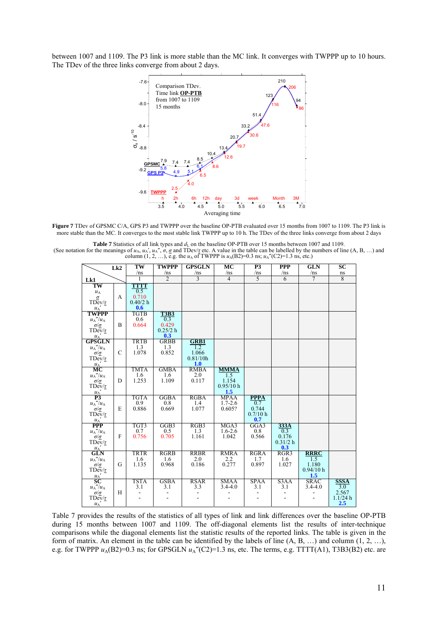between 1007 and 1109. The P3 link is more stable than the MC link. It converges with TWPPP up to 10 hours. The TDev of the three links converge from about 2 days.



**Figure 7** TDev of GPSMC C/A, GPS P3 and TWPPP over the baseline OP-PTB evaluated over 15 months from 1007 to 1109. The P3 link is more stable than the MC. It converges to the most stable link TWPPP up to 10 h. The TDev of the three links converge from about 2 days

**Table 7** Statistics of all link types and  $d<sub>L</sub>$  on the baseline OP-PTB over 15 months between 1007 and 1109. (See notation for the meanings of  $u_A$ ,  $u_A'$ ,  $u_A''$ ,  $\sigma$ ,  $\sigma$  and TDev/ $\tau$  etc. A value in the table can be labelled by the numbers of line (A, B, ...) and column (1, 2, ...), e.g. the  $u_A$  of TWPPP is  $u_A$ (B2)=0.3 ns

|                                                       |               | $\overline{\text{TW}}$ | <b>TWPPP</b>             | <b>GPSGLN</b>       | MC             | P3                | <b>PPP</b>     | <b>GLN</b>  | $\overline{SC}$ |
|-------------------------------------------------------|---------------|------------------------|--------------------------|---------------------|----------------|-------------------|----------------|-------------|-----------------|
|                                                       | Lk2           | /ns                    | /ns                      | /ns                 | /ns            | /ns               | /ns            | /ns         | ns              |
|                                                       |               | 1                      | $\overline{\mathcal{L}}$ | $\overline{3}$      | $\overline{4}$ | $\overline{5}$    | $\overline{6}$ | 7           | 8               |
| Lk1                                                   |               |                        |                          |                     |                |                   |                |             |                 |
| TW                                                    |               | TTTT                   |                          |                     |                |                   |                |             |                 |
| $u_{\rm A}$                                           |               | 0.5<br>0.710           |                          |                     |                |                   |                |             |                 |
| $\sigma$                                              | A             | 0.40/2 h               |                          |                     |                |                   |                |             |                 |
| $T$ Dev/ $\tau$<br>$u_A$                              |               | 0.6                    |                          |                     |                |                   |                |             |                 |
| <b>TWPPP</b>                                          |               | TGTB                   | <b>T3B3</b>              |                     |                |                   |                |             |                 |
| ${u_{\rm A}}''/u_{\rm A}$                             |               | 0.6                    | 0.3                      |                     |                |                   |                |             |                 |
| $\sigma/\underline{\sigma}$                           | B             | 0.664                  | 0.429                    |                     |                |                   |                |             |                 |
| TDev/ $\tau$                                          |               |                        | 0.25/2 h                 |                     |                |                   |                |             |                 |
| $u_A$                                                 |               |                        | 0.3                      |                     |                |                   |                |             |                 |
| <b>GPSGLN</b>                                         |               | TRTB                   | GRBB                     | <b>GRB1</b>         |                |                   |                |             |                 |
| $u_A''/u_A$                                           |               | 1.3                    | 1.3                      | 1.2                 |                |                   |                |             |                 |
|                                                       | $\mathcal{C}$ | 1.078                  | 0.852                    | 1.066               |                |                   |                |             |                 |
| $TDev / \tau$                                         |               |                        |                          | 0.81/10h            |                |                   |                |             |                 |
| $u_A$                                                 |               |                        |                          | 1.0                 |                |                   |                |             |                 |
| МC                                                    |               | TMTA                   | <b>GMBA</b>              | <b>RMBA</b>         | <b>MMMA</b>    |                   |                |             |                 |
| ${u_{\rm A}}''/u_{\rm A}$                             |               | 1.6                    | 1.6                      | 2.0                 | 1.5            |                   |                |             |                 |
| $\frac{\sigma/\sigma}{\text{TDev}/\tau}$              | D             | 1.253                  | 1.109                    | 0.117               | 1.154          |                   |                |             |                 |
|                                                       |               |                        |                          |                     | 0.95/10 h      |                   |                |             |                 |
| $\frac{u_A}{P_3}$                                     |               |                        |                          |                     | 1.5            |                   |                |             |                 |
|                                                       |               | TGTA                   | GGBA                     | <b>RGBA</b>         | MPAA           | <b>PPPA</b>       |                |             |                 |
| $u_A''/u_A$                                           | E             | 0.9<br>0.886           | 0.8                      | $1.4$<br>1.077      | $1.7 - 2.6$    | 0.7               |                |             |                 |
| $\frac{\sigma/\sigma}{\text{TDev}/\tau}$              |               |                        | 0.669                    |                     | 0.605?         | 0.744<br>0.7/10 h |                |             |                 |
|                                                       |               |                        |                          |                     |                | 0.7               |                |             |                 |
| $\frac{u_A}{PPP}$                                     |               | TGT3                   | GGB3                     | RGB3                | MGA3           | GGA3              | 333A           |             |                 |
| ${u_{\rm A}}''/u_{\rm A}$                             |               | 0.7                    | 0.5                      |                     | $1.6 - 2.6$    | 0.8               | 0.3            |             |                 |
| $\sigma/\sigma$                                       | $\mathbf{F}$  | 0.756                  | 0.705                    | $\frac{1.3}{1.161}$ | 1.042          | 0.566             | 0.176          |             |                 |
| $T$ Dev/ $\tau$                                       |               |                        |                          |                     |                |                   | 0.31/2 h       |             |                 |
| $u_A$                                                 |               |                        |                          |                     |                |                   | 0.3            |             |                 |
| <b>GLN</b>                                            |               | TRTR                   | <b>RGRB</b>              | <b>RRBR</b>         | <b>RMRA</b>    | <b>RGRA</b>       | RGR3           | <b>RRRC</b> |                 |
| $u_A''/u_A$                                           |               | 1.6                    | 1.6                      | 2.0                 | 2.2            | 1.7               | 1.6            | 1.5         |                 |
| $\sigma/\sigma$                                       | G             | 1.135                  | 0.968                    | 0.186               | 0.277          | 0.897             | 1.027          | 1.180       |                 |
| TDev/ $\tau$                                          |               |                        |                          |                     |                |                   |                | 0.94/10 h   |                 |
| $\frac{u_{A}'}{SC}$                                   |               |                        |                          |                     |                |                   |                | 1.5         |                 |
|                                                       |               | <b>TSTA</b>            | <b>GSBA</b>              | <b>RSAR</b>         | <b>SMAA</b>    | <b>SPAA</b>       | S3AA           | <b>SRAC</b> | <b>SSSA</b>     |
| $u_{\rm A}^{\phantom{\star}\prime\prime} / u_{\rm A}$ |               | 3.1                    | 3.1                      | 3.3                 | $3.4 - 4.0$    | 3.1               | 3.1            | $3.4 - 4.0$ | 3.0             |
| $\sigma/\underline{\sigma}$                           | H             |                        |                          |                     |                |                   |                |             | 2.567           |
| $TDev / \tau$                                         |               |                        |                          |                     |                |                   |                |             | 1.1/24 h        |
| $u_A$                                                 |               |                        |                          |                     |                |                   |                |             | 2.5             |

Table 7 provides the results of the statistics of all types of link and link differences over the baseline OP-PTB during 15 months between 1007 and 1109. The off-diagonal elements list the results of inter-technique comparisons while the diagonal elements list the statistic results of the reported links. The table is given in the form of matrix. An element in the table can be identified by the labels of line (A, B, …) and column (1, 2, …), e.g. for TWPPP  $u_A(B2)=0.3$  ns; for GPSGLN  $u_A''(C2)=1.3$  ns, etc. The terms, e.g. TTTT(A1), T3B3(B2) etc. are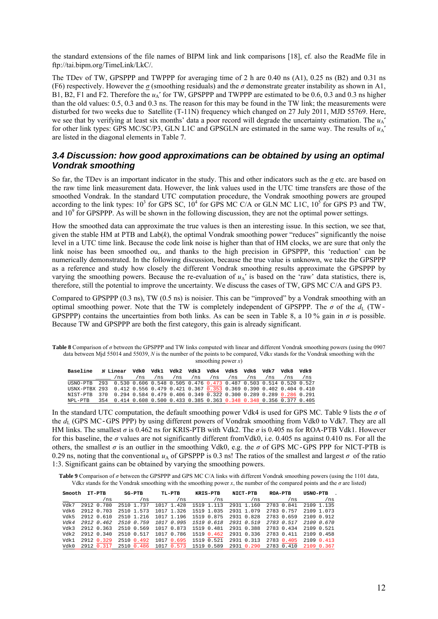the standard extensions of the file names of BIPM link and link comparisons [18], cf. also the ReadMe file in ftp://tai.bipm.org/TimeLink/LkC/.

The TDev of TW, GPSPPP and TWPPP for averaging time of 2 h are 0.40 ns (A1), 0.25 ns (B2) and 0.31 ns (F6) respectively. However the  $\sigma$  (smoothing residuals) and the  $\sigma$  demonstrate greater instability as shown in A1, B1, B2, F1 and F2. Therefore the  $u_A'$  for TW, GPSPPP and TWPPP are estimated to be 0.6, 0.3 and 0.3 ns higher than the old values: 0.5, 0.3 and 0.3 ns. The reason for this may be found in the TW link; the measurements were disturbed for two weeks due to Satellite (T-11N) frequency which changed on 27 July 2011, MJD 55769. Here, we see that by verifying at least six months' data a poor record will degrade the uncertainty estimation. The  $u_A'$ for other link types: GPS MC/SC/P3, GLN L1C and GPSGLN are estimated in the same way. The results of  $u_A$ ' are listed in the diagonal elements in Table 7.

#### *3.4 Discussion: how good approximations can be obtained by using an optimal Vondrak smoothing*

So far, the TDev is an important indicator in the study. This and other indicators such as the *σ* etc. are based on the raw time link measurement data. However, the link values used in the UTC time transfers are those of the smoothed Vondrak. In the standard UTC computation procedure, the Vondrak smoothing powers are grouped according to the link types:  $10^3$  for GPS SC,  $10^4$  for GPS MC C/A or GLN MC L1C,  $10^5$  for GPS P3 and TW, and 10<sup>9</sup> for GPSPPP. As will be shown in the following discussion, they are not the optimal power settings.

How the smoothed data can approximate the true values is then an interesting issue. In this section, we see that, given the stable HM at PTB and Lab(*k*), the optimal Vondrak smoothing power "reduces" significantly the noise level in a UTC time link. Because the code link noise is higher than that of HM clocks, we are sure that only the link noise has been smoothed ou,. and thanks to the high precision in GPSPPP, this 'reduction' can be numerically demonstrated. In the following discussion, because the true value is unknown, we take the GPSPPP as a reference and study how closely the different Vondrak smoothing results approximate the GPSPPP by varying the smoothing powers. Because the re-evaluation of  $u_A$ ' is based on the 'raw' data statistics, there is, therefore, still the potential to improve the uncertainty. We discuss the cases of TW, GPS MC C/A and GPS P3.

Compared to GPSPPP (0.3 ns), TW (0.5 ns) is noisier. This can be "improved" by a Vondrak smoothing with an optimal smoothing power. Note that the TW is completely independent of GPSPPP. The  $\sigma$  of the  $d_L$  (TW-GPSPPP) contains the uncertainties from both links. As can be seen in Table 8, a 10 % gain in *σ* is possible. Because TW and GPSPPP are both the first category, this gain is already significant.

**Table 8** Comparison of *σ* between the GPSPPP and TW links computed with linear and different Vondrak smoothing powers (using the 0907 data between Mjd 55014 and 55039, *N* is the number of the points to be compared, Vdk*x* stands for the Vondrak smoothing with the smoothing power *x*)

| <b>Baseline</b>                                                                 | N Linear Vdk0 Vdk1 Vdk2 Vdk3 Vdk4 Vdk5 Vdk6 Vdk7 |     |     |                                                                       |     |     |     |     |     |     | <b>Azpr</b> | APA |
|---------------------------------------------------------------------------------|--------------------------------------------------|-----|-----|-----------------------------------------------------------------------|-----|-----|-----|-----|-----|-----|-------------|-----|
|                                                                                 |                                                  | /ns | /ns | /ns                                                                   | /ns | /ns | /ns | /ns | /ns | /ns | /ns         | /ns |
| USNO-PTB 293 0.530 0.606 0.548 0.505 0.476 0.473 0.487 0.503 0.514 0.520 0.527  |                                                  |     |     |                                                                       |     |     |     |     |     |     |             |     |
| USNX-PTBX 293 0.412 0.556 0.479 0.421 0.367 0.353 0.369 0.390 0.402 0.404 0.410 |                                                  |     |     |                                                                       |     |     |     |     |     |     |             |     |
| NIST-PTB 370 0.294 0.584 0.479 0.406 0.349 0.322 0.300 0.289 0.289 0.286 0.291  |                                                  |     |     |                                                                       |     |     |     |     |     |     |             |     |
| NPL-PTB                                                                         |                                                  |     |     | 354 0.414 0.608 0.500 0.433 0.385 0.363 0.348 0.348 0.356 0.377 0.405 |     |     |     |     |     |     |             |     |

In the standard UTC computation, the default smoothing power Vdk4 is used for GPS MC. Table 9 lists the *σ* of the *d*<sub>L</sub> (GPS MC–GPS PPP) by using different powers of Vondrak smoothing from Vdk0 to Vdk7. They are all HM links. The smallest *σ* is 0.462 ns for KRIS-PTB with Vdk2. The *σ* is 0.405 ns for ROA-PTB Vdk1. However for this baseline, the *σ* values are not significantly different fromVdk0, i.e. 0.405 ns against 0.410 ns. For all the others, the smallest  $\sigma$  is an outlier in the smoothing Vdk0, e.g. the  $\sigma$  of GPS MC-GPS PPP for NICT-PTB is 0.29 ns, noting that the conventional  $u<sub>A</sub>$  of GPSPPP is 0.3 ns! The ratios of the smallest and largest  $\sigma$  of the ratio 1:3. Significant gains can be obtained by varying the smoothing powers.

**Table 9** Comparison of *σ* between the GPSPPP and GPS MC C/A links with different Vondrak smoothing powers (using the 1101 data, Vdkx stands for the Vondrak smoothing with the smoothing power *x*, the number of the compared points and the  $\sigma$  are listed)

| Smooth | IT-PTB     | $SG-PTB$   | TL-PTR                | <b>KRTS-PTR</b> | NICT-PTB   | <b>ROA-PTB</b> | <b>USNO-PTB</b> |
|--------|------------|------------|-----------------------|-----------------|------------|----------------|-----------------|
|        | 'ns        | /ns        | /ns                   | /ns             | /ns        | /ns            | /ns             |
| Vdk7   | 2912 0.780 | 2510 1.737 | 1017 1.428            | 1519 1.113      | 2931 1.160 | 2783 0.841     | 2109 1 135      |
| ydk6   | 2912 0.703 | 2510 1.573 | 1017 1.326            | 1519 1.035      | 2931 1.079 | 2783 0.757     | 2109 1.073      |
| Vdk5   | 2912 0.610 | 2510 1.216 | 1017 1.196 1519 0.875 |                 | 2931 0.828 | 2783 0.659     | 2109 0.912      |
| Vdk4   | 2912 0.462 | 2510 0.759 | 1017 0.995            | 1519 0.618      | 2931 0.519 | 2783 0.517     | 2109 0.670      |
| Vdk3   | 2912 0.363 | 2510 0.569 | 1017 0.873            | 1519 0.481      | 2931 0.388 | 2783 0.434     | 2109 0.521      |
| Vdk2   | 2912 0.340 | 2510 0.517 | 1017 0.786            | 1519 0.462      | 2931 0.336 | 2783 0.411     | 2109 0.458      |
| Vdk1   | 2912 0.329 | 2510 0.492 | 1017 0.695            | 1519 0.521      | 2931 0.313 | 2783 0.405     | 2109 0.413      |
| Udk0   | 2912 0 317 | 2510 0.486 | 0.573<br>1017         | 1519 0.589      | 2931 0.290 | 2783 0.410     | 2109 0 367      |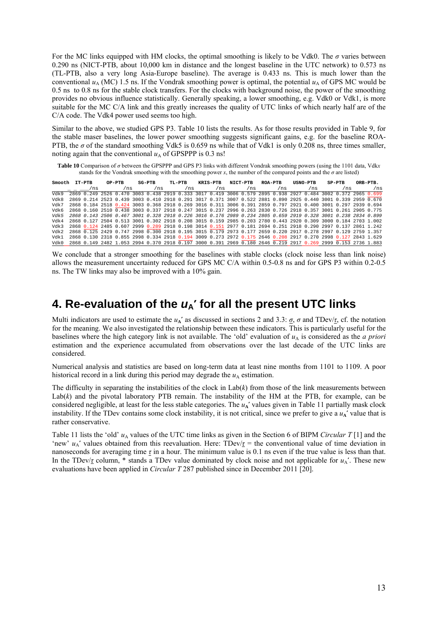For the MC links equipped with HM clocks, the optimal smoothing is likely to be Vdk0. The  $\sigma$  varies between 0.290 ns (NICT-PTB, about 10,000 km in distance and the longest baseline in the UTC network) to 0.573 ns (TL-PTB, also a very long Asia-Europe baseline). The average is 0.433 ns. This is much lower than the conventional  $u_A$  (MC) 1.5 ns. If the Vondrak smoothing power is optimal, the potential  $u_A$  of GPS MC would be 0.5 ns to 0.8 ns for the stable clock transfers. For the clocks with background noise, the power of the smoothing provides no obvious influence statistically. Generally speaking, a lower smoothing, e.g. Vdk0 or Vdk1, is more suitable for the MC C/A link and this greatly increases the quality of UTC links of which nearly half are of the C/A code. The Vdk4 power used seems too high.

Similar to the above, we studied GPS P3. Table 10 lists the results. As for those results provided in Table 9, for the stable maser baselines, the lower power smoothing suggests significant gains, e.g. for the baseline ROA-PTB, the  $\sigma$  of the standard smoothing Vdk5 is 0.659 ns while that of Vdk1 is only 0.208 ns, three times smaller, noting again that the conventional  $u_A$  of GPSPPP is 0.3 ns!

**Table 10** Comparison of *σ* between the GPSPPP and GPS P3 links with different Vondrak smoothing powers (using the 1101 data, Vdk*x* stands for the Vondrak smoothing with the smoothing power  $x$ , the number of the compared points and the  $\sigma$  are listed)

| Smooth IT-PTB |  |  |     | OP-PTB |     | $SG-PTB$ | TL-PTB | KRIS-PTB                                                                                                      | NICT-PTB | ROA-PTB |     |     | USNO-PTB |     | $SP-PTB$ |     | ORB-PTB. |
|---------------|--|--|-----|--------|-----|----------|--------|---------------------------------------------------------------------------------------------------------------|----------|---------|-----|-----|----------|-----|----------|-----|----------|
|               |  |  | /ns |        | /ns | /ns      | /ns    | /ns                                                                                                           | /ns      |         | /ns | /ns |          | /ns |          | /ns |          |
| APA           |  |  |     |        |     |          |        | 2869 0.249 2526 0.470 3003 0.438 2919 0.333 3017 0.419 3006 0.579 2895 0.938 2927 0.484 3002 0.372 2965 0.699 |          |         |     |     |          |     |          |     |          |
| Vdk8          |  |  |     |        |     |          |        | 2869 0.214 2523 0.439 3003 0.410 2918 0.291 3017 0.371 3007 0.522 2881 0.890 2925 0.440 3001 0.339 2959 0.670 |          |         |     |     |          |     |          |     |          |
| Vdk7          |  |  |     |        |     |          |        | 2868 0.184 2518 0.424 3003 0.368 2918 0.269 3016 0.311 3006 0.391 2859 0.797 2921 0.400 3001 0.297 2939 0.694 |          |         |     |     |          |     |          |     |          |
| yyyk k        |  |  |     |        |     |          |        | 2868 0.160 2510 0.438 3003 0.337 2918 0.247 3015 0.237 2996 0.263 2830 0.726 2918 0.357 3001 0.261 2905 0.775 |          |         |     |     |          |     |          |     |          |
| Vdk5          |  |  |     |        |     |          |        | 2868 0.143 2506 0.467 3001 0.328 2918 0.226 3016 0.176 2989 0.234 2805 0.659 2919 0.328 3001 0.238 2834 0.899 |          |         |     |     |          |     |          |     |          |
| Vdk 4         |  |  |     |        |     |          |        | 2868 0.127 2504 0.513 3001 0.302 2918 0.208 3015 0.159 2985 0.203 2780 0.443 2920 0.309 3000 0.184 2703 1.002 |          |         |     |     |          |     |          |     |          |
| Vdk 3         |  |  |     |        |     |          |        | 2868 0.124 2485 0.607 2999 0.289 2918 0.198 3014 0.151 2977 0.181 2694 0.251 2918 0.290 2997 0.137 2861 1.242 |          |         |     |     |          |     |          |     |          |
| Vdk 2         |  |  |     |        |     |          |        | 2868 0.125 2429 0.747 2998 0.300 2918 0.195 3015 0.179 2973 0.177 2659 0.220 2917 0.278 2997 0.129 2759 1.357 |          |         |     |     |          |     |          |     |          |
| Vdk1          |  |  |     |        |     |          |        | 2868 0.130 2318 0.855 2998 0.334 2918 0.194 3009 0.273 2972 0.175 2646 0.208 2917 0.270 2998 0.127 2843 1.629 |          |         |     |     |          |     |          |     |          |
| 7. July       |  |  |     |        |     |          |        | 2868 0.149 2482 1.053 2994 0.370 2918 0.197 3000 0.391 2969 0.180 2646 0.219 2917 0.269 2999 0.153 2736 1.883 |          |         |     |     |          |     |          |     |          |

We conclude that a stronger smoothing for the baselines with stable clocks (clock noise less than link noise) allows the measurement uncertainty reduced for GPS MC C/A within 0.5-0.8 ns and for GPS P3 within 0.2-0.5 ns. The TW links may also be improved with a 10% gain.

### **4. Re-evaluation of the** *u***A**' **for all the present UTC links**

Multi indicators are used to estimate the  $u_A'$  as discussed in sections 2 and 3.3:  $\sigma$ ,  $\sigma$  and TDev/ $\tau$ , cf. the notation for the meaning. We also investigated the relationship between these indicators. This is particularly useful for the baselines where the high category link is not available. The 'old' evaluation of  $u<sub>A</sub>$  is considered as the *a priori* estimation and the experience accumulated from observations over the last decade of the UTC links are considered.

Numerical analysis and statistics are based on long-term data at least nine months from 1101 to 1109. A poor historical record in a link during this period may degrade the  $u_A$  estimation.

The difficulty in separating the instabilities of the clock in  $Lab(k)$  from those of the link measurements between Lab(k) and the pivotal laboratory PTB remain. The instability of the HM at the PTB, for example, can be considered negligible, at least for the less stable categories. The  $u_A'$  values given in Table 11 partially mask clock instability. If the TDev contains some clock instability, it is not critical, since we prefer to give a  $u_A'$  value that is rather conservative.

Table 11 lists the 'old'  $u_A$  values of the UTC time links as given in the Section 6 of BIPM *Circular* T [1] and the 'new'  $u_A$ ' values obtained from this reevaluation. Here: TDev/ $\tau$  = the conventional value of time deviation in nanoseconds for averaging time *τ* in a hour. The minimum value is 0.1 ns even if the true value is less than that. In the TDev/ $\tau$  column, \* stands a TDev value dominated by clock noise and not applicable for  $u_A'$ . These new evaluations have been applied in *Circular T* 287 published since in December 2011 [20].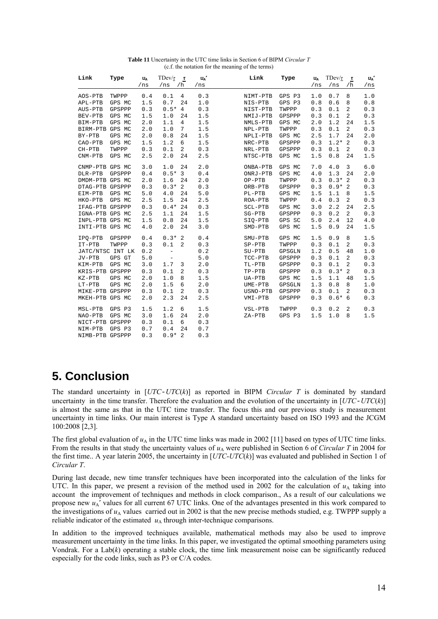| Link             | Type   | $u_{\text{\tiny A}}$<br>/ns | $TDev / \tau$<br>/ns     | $\tau$<br>/h   | $u_{\rm A}$<br>/ns | Link      | Type   | $u_{\rm A}$<br>/ns | TDev/ $\tau$<br>/ns | $\pmb{\tau}$<br>/ $h$ | $u_{\rm A}$<br>/ns |
|------------------|--------|-----------------------------|--------------------------|----------------|--------------------|-----------|--------|--------------------|---------------------|-----------------------|--------------------|
| AOS-PTB          | TWPPP  | 0.4                         | 0.1                      | $\overline{4}$ | 0.3                | NIMT-PTB  | GPS P3 | 1.0                | 0.7                 | 8                     | 1.0                |
| APL-PTB          | GPS MC | 1.5                         | 0.7                      | 24             | 1.0                | NIS-PTB   | GPS P3 | 0.8                | 0.6                 | 8                     | 0.8                |
| AUS-PTB          | GPSPPP | 0.3                         | $0.5*4$                  |                | 0.3                | NIST-PTB  | TWPPP  | 0.3                | 0.1                 | 2                     | 0.3                |
| BEV-PTB          | GPS MC | 1.5                         | 1.0                      | 24             | 1.5                | NMIJ-PTB  | GPSPPP | 0.3                | 0.1                 | 2                     | 0.3                |
| BIM-PTB          | GPS MC | 2.0                         | 1.1                      | 4              | 1.5                | NMLS-PTB  | GPS MC | 2.0                | 1.2                 | 24                    | 1.5                |
| BIRM-PTB GPS MC  |        | 2.0                         | 1.0                      | 7              | 1.5                | NPL-PTB   | TWPPP  | 0.3                | 0.1                 | 2                     | 0.3                |
| BY-PTB           | GPS MC | 2.0                         | 0.8                      | 24             | 1.5                | NPLI-PTB  | GPS MC | 2.5                | 1.7                 | 24                    | 2.0                |
| CAO-PTB          | GPS MC | 1.5                         | 1.2                      | 6              | 1.5                | NRC-PTB   | GPSPPP | 0.3                | $1.2*2$             |                       | 0.3                |
| $CH-PTB$         | TWPPP  | 0.3                         | 0.1                      | $\overline{2}$ | 0.3                | NRL-PTB   | GPSPPP | 0.3                | 0.1                 | $\overline{2}$        | 0.3                |
| $CNM-PTB$        | GPS MC | 2.5                         | 2.0                      | 24             | 2.5                | NTSC-PTB  | GPS MC | 1.5                | 0.8                 | 24                    | 1.5                |
| CNMP-PTB GPS MC  |        | 3.0                         | 1.0                      | 24             | 2.0                | ONBA-PTB  | GPS MC | 7.0                | 4.0                 | 3                     | 6.0                |
| DLR-PTB          | GPSPPP | 0.4                         | $0.5*3$                  |                | 0.4                | ONRJ-PTB  | GPS MC | 4.0                | 1.3                 | 24                    | 2.0                |
| DMDM-PTB GPS MC  |        | 2.0                         | 1.6                      | 24             | 2.0                | OP-PTB    | TWPPP  | 0.3                | $0.3*$              | -2                    | 0.3                |
| DTAG-PTB GPSPPP  |        | 0.3                         | $0.3*2$                  |                | 0.3                | ORB-PTB   | GPSPPP | 0.3                | $0.9*$              | - 2                   | 0.3                |
| EIM-PTB          | GPS MC | 5.0                         | 4.0                      | 24             | 5.0                | PL-PTB    | GPS MC | 1.5                | 1.1                 | 8                     | 1.5                |
| HKO-PTB          | GPS MC | 2.5                         | 1.5                      | 24             | 2.5                | ROA-PTB   | TWPPP  | 0.4                | 0.3                 | 2                     | 0.3                |
| IFAG-PTB GPSPPP  |        | 0.3                         | $0.4*24$                 |                | 0.3                | SCL-PTB   | GPS MC | 3.0                | 2.2                 | 24                    | 2.5                |
| IGNA-PTB GPS MC  |        | 2.5                         | 1.1                      | 24             | 1.5                | SG-PTB    | GPSPPP | 0.3                | 0.2                 | $\overline{2}$        | 0.3                |
| INPL-PTB GPS MC  |        | 1.5                         | 0.8                      | 24             | 1.5                | SIO-PTB   | GPS SC | 5.0                | 2.4                 | 12                    | 4.0                |
| INTI-PTB GPS MC  |        | 4.0                         | 2.0                      | 24             | 3.0                | $SMD-PTB$ | GPS MC | 1.5                | 0.9                 | 24                    | 1.5                |
| IPO-PTB          | GPSPPP | 0.4                         | $0.3*$                   | 2              | 0.4                | SMU-PTB   | GPS MC | 1.5                | 0.9                 | 8                     | 1.5                |
| IT-PTB           | TWPPP  | 0.3                         | 0.1                      | 2              | 0.3                | $SP-PTB$  | TWPPP  | 0.3                | 0.1                 | 2                     | 0.3                |
| JATC/NTSC INT LK |        | 0.2                         | $\overline{\phantom{a}}$ |                | 0.2                | SU-PTB    | GPSGLN | 1.2                | 0.5                 | 48                    | 1.0                |
| JV-PTB           | GPS GT | 5.0                         | $\overline{\phantom{a}}$ |                | $5.0$              | TCC-PTB   | GPSPPP | 0.3                | 0.1                 | 2                     | 0.3                |
| KIM-PTB          | GPS MC | 3.0                         | 1.7                      | 3              | 2.0                | TL-PTB    | GPSPPP | 0.3                | 0.1                 | 2                     | 0.3                |
| KRIS-PTB GPSPPP  |        | 0.3                         | 0.1                      | 2              | 0.3                | TP-PTB    | GPSPPP | 0.3                | $0.3*2$             |                       | 0.3                |
| KZ-PTB           | GPS MC | 2.0                         | 1.0                      | 8              | 1.5                | UA-PTB    | GPS MC | 1.5                | 1.1                 | 48                    | 1.5                |
| $LT-PTB$         | GPS MC | 2.0                         | 1.5                      | 6              | 2.0                | $UME-PTB$ | GPSGLN | 1.3                | 0.8                 | 8                     | 1.0                |
| MIKE-PTB GPSPPP  |        | 0.3                         | 0.1                      | 2              | 0.3                | USNO-PTB  | GPSPPP | 0.3                | 0.1                 | 2                     | 0.3                |
| MKEH-PTB GPS MC  |        | 2.0                         | 2.3                      | 24             | 2.5                | VMI-PTB   | GPSPPP | 0.3                | $0.6*6$             |                       | 0.3                |
| MSL-PTB          | GPS P3 | 1.5                         | 1.2                      | 6              | 1.5                | VSL-PTB   | TWPPP  | 0.3                | 0.2                 | 2                     | 0.3                |
| NAO-PTB          | GPS MC | 3.0                         | 1.6                      | 24             | 2.0                | ZA-PTB    | GPS P3 | 1.5                | 1.0                 | 8                     | 1.5                |
| NICT-PTB GPSPPP  |        | 0.3                         | 0.1                      | 6              | 0.3                |           |        |                    |                     |                       |                    |
| NIM-PTB          | GPS P3 | 0.7                         | 0.4                      | 24             | 0.7                |           |        |                    |                     |                       |                    |
| NIMB-PTB GPSPPP  |        | 0.3                         | $0.9*2$                  |                | 0.3                |           |        |                    |                     |                       |                    |

**Table 11** Uncertainty in the UTC time links in Section 6 of BIPM *Circular T* (c.f. the notation for the meaning of the terms)

# **5. Conclusion**

The standard uncertainty in [*UTC*-*UTC*(*k*)] as reported in BIPM *Circular T* is dominated by standard uncertainty in the time transfer. Therefore the evaluation and the evolution of the uncertainty in [*UTC*-*UTC*(*k*)] is almost the same as that in the UTC time transfer. The focus this and our previous study is measurement uncertainty in time links. Our main interest is Type A standard uncertainty based on ISO 1993 and the JCGM 100:2008 [2,3].

The first global evaluation of  $u_A$  in the UTC time links was made in 2002 [11] based on types of UTC time links. From the results in that study the uncertainty values of  $u_A$  were published in Section 6 of *Circular T* in 2004 for the first time.. A year laterin 2005, the uncertainty in [*UTC*-*UTC*(*k*)] was evaluated and published in Section 1 of *Circular T*.

During last decade, new time transfer techniques have been incorporated into the calculation of the links for UTC. In this paper, we present a revision of the method used in 2002 for the calculation of  $u_A$  taking into account the improvement of techniques and methods in clock comparison., As a result of our calculations we propose new  $u_A'$  values for all current 67 UTC links. One of the advantages presented in this work compared to the investigations of  $u_A$  values carried out in 2002 is that the new precise methods studied, e.g. TWPPP supply a reliable indicator of the estimated  $u_A$  through inter-technique comparisons.

In addition to the improved techniques available, mathematical methods may also be used to improve measurement uncertainty in the time links. In this paper, we investigated the optimal smoothing parameters using Vondrak. For a Lab(*k*) operating a stable clock, the time link measurement noise can be significantly reduced especially for the code links, such as P3 or C/A codes.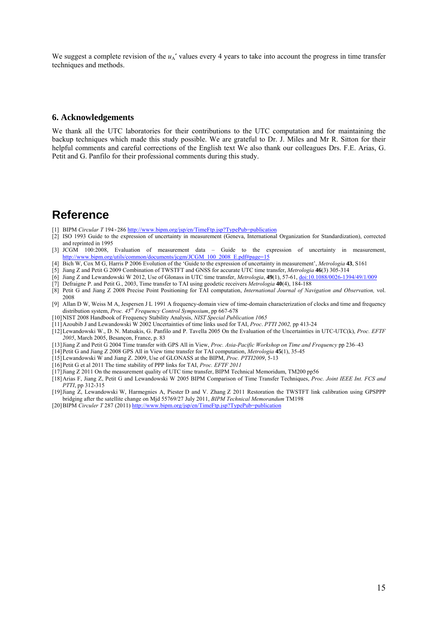We suggest a complete revision of the  $u_A'$  values every 4 years to take into account the progress in time transfer techniques and methods.

#### **6. Acknowledgements**

We thank all the UTC laboratories for their contributions to the UTC computation and for maintaining the backup techniques which made this study possible. We are grateful to Dr. J. Miles and Mr R. Sitton for their helpful comments and careful corrections of the English text We also thank our colleagues Drs. F.E. Arias, G. Petit and G. Panfilo for their professional comments during this study.

### **Reference**

- [1] BIPM *Circular T* 194-286 http://www.bipm.org/jsp/en/TimeFtp.jsp?TypePub=publication
- [2] ISO 1993 Guide to the expression of uncertainty in measurement (Geneva, International Organization for Standardization), corrected and reprinted in 1995
- [3] JCGM 100:2008, Evaluation of measurement data Guide to the expression of uncertainty in measurement, http://www.bipm.org/utils/common/documents/jcgm/JCGM\_100\_2008\_E.pdf#page=15
- [4] Bich W, Cox M G, Harris P 2006 Evolution of the 'Guide to the expression of uncertainty in measurement', *Metrologia* **43**, S161
- [5] Jiang Z and Petit G 2009 Combination of TWSTFT and GNSS for accurate UTC time transfer, *Metrologia* **46**(3) 305-314
- [6] Jiang Z and Lewandowski W 2012, Use of Glonass in UTC time transfer, *Metrologia*, **49**(1), 57-61, doi:10.1088/0026-1394/49/1/009
- [7] Defraigne P. and Petit G., 2003, Time transfer to TAI using geodetic receivers *Metrologia* **40**(4), 184-188
- [8] Petit G and Jiang Z 2008 Precise Point Positioning for TAI computation, *International Journal of Navigation and Observation,* vol. 2008
- [9] Allan D W, Weiss M A, Jespersen J L 1991 A frequency-domain view of time-domain characterization of clocks and time and frequency distribution system, *Proc. 45th Frequency Control Symposium*, pp 667-678
- [10]NIST 2008 Handbook of Frequency Stability Analysis, *NIST Special Publication 1065*
- [11]Azoubib J and Lewandowski W 2002 Uncertainties of time links used for TAI, *Proc*. *PTTI 2002,* pp 413-24
- [12]Lewandowski W., D. N. Matsakis, G. Panfilo and P. Tavella 2005 On the Evaluation of the Uncertainties in UTC-UTC(k), *Proc. EFTF 2005*, March 2005, Besançon, France, p. 83
- [13]Jiang Z and Petit G 2004 Time transfer with GPS All in View, *Proc. Asia-Pacific Workshop on Time and Frequency* pp 236–43
- [14]Petit G and Jiang Z 2008 GPS All in View time transfer for TAI computation, *Metrologia* **45**(1), 35-45
- [15]Lewandowski W and Jiang Z. 2009, Use of GLONASS at the BIPM, *Proc. PTTI2009*, 5-13
- [16]Petit G et al 2011 The time stability of PPP links for TAI, *Proc. EFTF 2011*
- [17]Jiang Z 2011 On the measurement quality of UTC time transfer, BIPM Technical Memoridum, TM200 pp56
- [18]Arias F, Jiang Z, Petit G and Lewandowski W 2005 BIPM Comparison of Time Transfer Techniques, *Proc. Joint IEEE Int. FCS and PTTI*, pp 312-315
- [19]Jiang Z, Lewandowski W, Harmegnies A, Piester D and V. Zhang Z 2011 Restoration the TWSTFT link calibration using GPSPPP bridging after the satellite change on Mjd 55769/27 July 2011, *BIPM Technical Memorandum* TM198
- [20]BIPM *Circuler T* 287 (2011) http://www.bipm.org/jsp/en/TimeFtp.jsp?TypePub=publication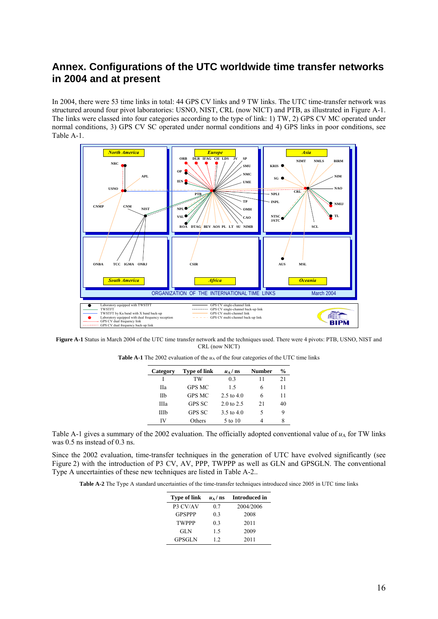### **Annex. Configurations of the UTC worldwide time transfer networks in 2004 and at present**

In 2004, there were 53 time links in total: 44 GPS CV links and 9 TW links. The UTC time-transfer network was structured around four pivot laboratories: USNO, NIST, CRL (now NICT) and PTB, as illustrated in Figure A-1. The links were classed into four categories according to the type of link: 1) TW, 2) GPS CV MC operated under normal conditions, 3) GPS CV SC operated under normal conditions and 4) GPS links in poor conditions, see Table A-1.



**Figure A-1** Status in March 2004 of the UTC time transfer network and the techniques used. There were 4 pivots: PTB, USNO, NIST and CRL (now NICT)

| Category | <b>Type of link</b> | $u_A$ / ns            | <b>Number</b> | %  |
|----------|---------------------|-----------------------|---------------|----|
|          | TW                  | 03                    | 11            | 21 |
| Hа       | <b>GPS MC</b>       | 15                    | 6             | 11 |
| IIb      | <b>GPS MC</b>       | $2.5 \text{ to } 4.0$ | 6             | 11 |
| Шa       | <b>GPS SC</b>       | $2.0 \text{ to } 2.5$ | 21            | 40 |
| Шb       | <b>GPS SC</b>       | 3.5 to 4.0            | 5             |    |
| IV       | Others              | 5 to 10               |               |    |

Table A-1 gives a summary of the 2002 evaluation. The officially adopted conventional value of  $u_A$  for TW links was 0.5 ns instead of 0.3 ns.

Since the 2002 evaluation, time-transfer techniques in the generation of UTC have evolved significantly (see Figure 2) with the introduction of P3 CV, AV, PPP, TWPPP as well as GLN and GPSGLN. The conventional Type A uncertainties of these new techniques are listed in Table A-2..

**Table A-2** The Type A standard uncertainties of the time-transfer techniques introduced since 2005 in UTC time links

| <b>Type of link</b> |     | $u_{\Lambda}/$ ns Introduced in |
|---------------------|-----|---------------------------------|
| P3 CV/AV            | 07  | 2004/2006                       |
| <b>GPSPPP</b>       | 0.3 | 2008                            |
| <b>TWPPP</b>        | 03  | 2011                            |
| <b>GLN</b>          | 15  | 2009                            |
| <b>GPSGLN</b>       | 12  | 2011                            |